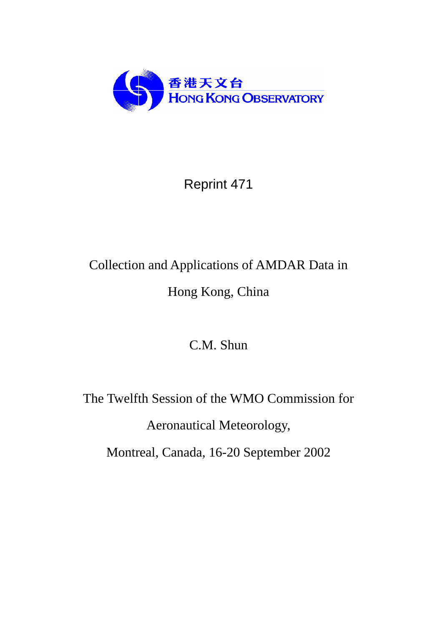

# Reprint 471

# Collection and Applications of AMDAR Data in Hong Kong, China

C.M. Shun

The Twelfth Session of the WMO Commission for Aeronautical Meteorology, Montreal, Canada, 16-20 September 2002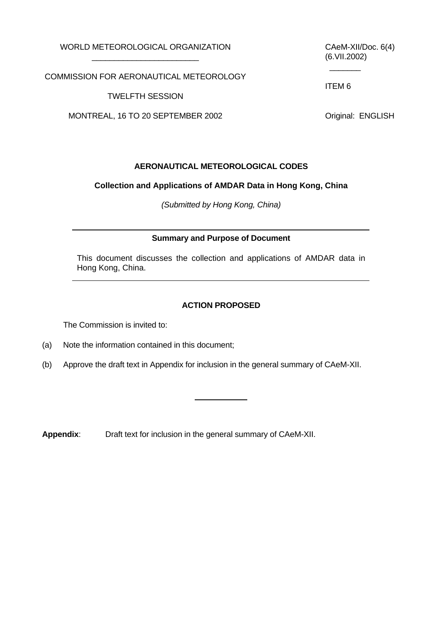WORLD METEOROLOGICAL ORGANIZATION \_\_\_\_\_\_\_\_\_\_\_\_\_\_\_\_\_\_\_\_\_\_\_\_

CAeM-XII/Doc. 6(4) (6.VII.2002)

COMMISSION FOR AERONAUTICAL METEOROLOGY

TWELFTH SESSION

MONTREAL, 16 TO 20 SEPTEMBER 2002

ITEM 6

 $\frac{1}{2}$ 

Original: ENGLISH

## **AERONAUTICAL METEOROLOGICAL CODES**

#### **Collection and Applications of AMDAR Data in Hong Kong, China**

*(Submitted by Hong Kong, China)*

#### **Summary and Purpose of Document**

This document discusses the collection and applications of AMDAR data in Hong Kong, China.

#### **ACTION PROPOSED**

The Commission is invited to:

- (a) Note the information contained in this document;
- (b) Approve the draft text in Appendix for inclusion in the general summary of CAeM-XII.

**Appendix**: Draft text for inclusion in the general summary of CAeM-XII.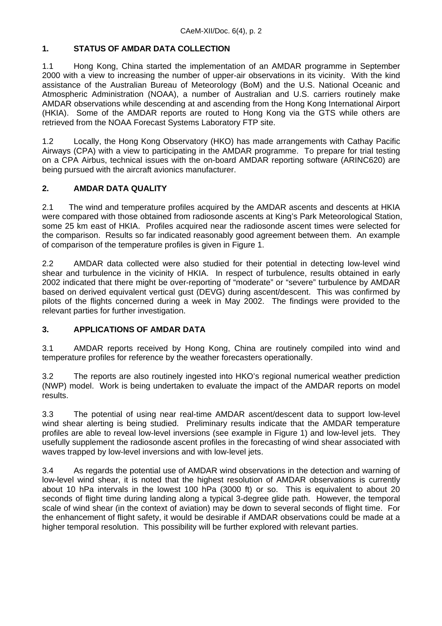# **1. STATUS OF AMDAR DATA COLLECTION**

1.1 Hong Kong, China started the implementation of an AMDAR programme in September 2000 with a view to increasing the number of upper-air observations in its vicinity. With the kind assistance of the Australian Bureau of Meteorology (BoM) and the U.S. National Oceanic and Atmospheric Administration (NOAA), a number of Australian and U.S. carriers routinely make AMDAR observations while descending at and ascending from the Hong Kong International Airport (HKIA). Some of the AMDAR reports are routed to Hong Kong via the GTS while others are retrieved from the NOAA Forecast Systems Laboratory FTP site.

1.2 Locally, the Hong Kong Observatory (HKO) has made arrangements with Cathay Pacific Airways (CPA) with a view to participating in the AMDAR programme. To prepare for trial testing on a CPA Airbus, technical issues with the on-board AMDAR reporting software (ARINC620) are being pursued with the aircraft avionics manufacturer.

## **2. AMDAR DATA QUALITY**

2.1 The wind and temperature profiles acquired by the AMDAR ascents and descents at HKIA were compared with those obtained from radiosonde ascents at King's Park Meteorological Station, some 25 km east of HKIA. Profiles acquired near the radiosonde ascent times were selected for the comparison. Results so far indicated reasonably good agreement between them. An example of comparison of the temperature profiles is given in Figure 1.

2.2 AMDAR data collected were also studied for their potential in detecting low-level wind shear and turbulence in the vicinity of HKIA. In respect of turbulence, results obtained in early 2002 indicated that there might be over-reporting of "moderate" or "severe" turbulence by AMDAR based on derived equivalent vertical gust (DEVG) during ascent/descent. This was confirmed by pilots of the flights concerned during a week in May 2002. The findings were provided to the relevant parties for further investigation.

#### **3. APPLICATIONS OF AMDAR DATA**

3.1 AMDAR reports received by Hong Kong, China are routinely compiled into wind and temperature profiles for reference by the weather forecasters operationally.

3.2 The reports are also routinely ingested into HKO's regional numerical weather prediction (NWP) model. Work is being undertaken to evaluate the impact of the AMDAR reports on model results.

3.3 The potential of using near real-time AMDAR ascent/descent data to support low-level wind shear alerting is being studied. Preliminary results indicate that the AMDAR temperature profiles are able to reveal low-level inversions (see example in Figure 1) and low-level jets. They usefully supplement the radiosonde ascent profiles in the forecasting of wind shear associated with waves trapped by low-level inversions and with low-level jets.

3.4 As regards the potential use of AMDAR wind observations in the detection and warning of low-level wind shear, it is noted that the highest resolution of AMDAR observations is currently about 10 hPa intervals in the lowest 100 hPa (3000 ft) or so. This is equivalent to about 20 seconds of flight time during landing along a typical 3-degree glide path. However, the temporal scale of wind shear (in the context of aviation) may be down to several seconds of flight time. For the enhancement of flight safety, it would be desirable if AMDAR observations could be made at a higher temporal resolution. This possibility will be further explored with relevant parties.